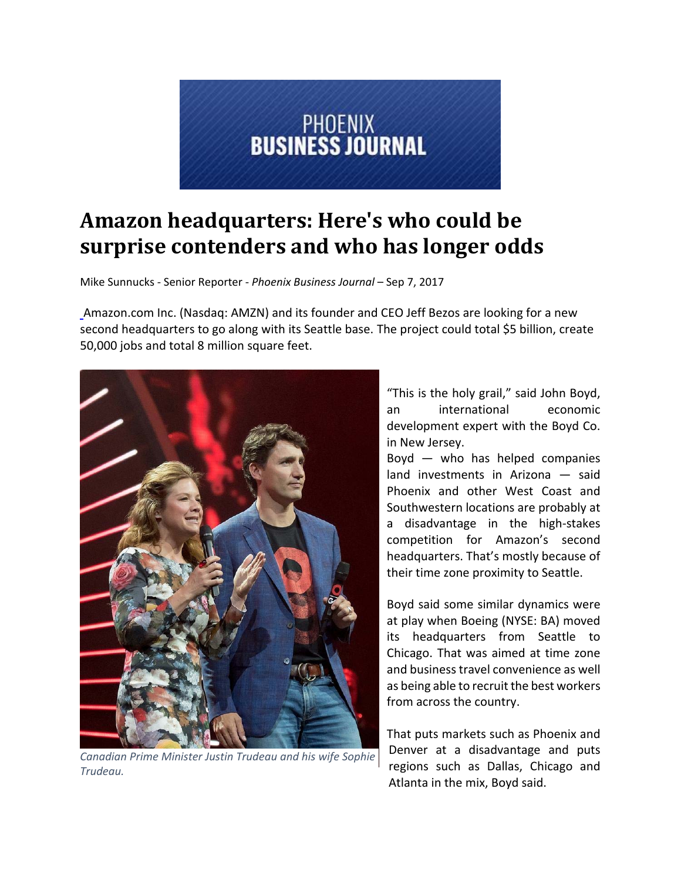

## **Amazon headquarters: Here's who could be surprise contenders and who has longer odds**

Mike Sunnucks ‐ Senior Reporter ‐ *Phoenix Business Journal* – Sep 7, 2017

Amazon.com Inc. (Nasdaq: AMZN) and its founder and CEO Jeff Bezos are looking for a new second headquarters to go along with its Seattle base. The project could total \$5 billion, create 50,000 jobs and total 8 million square feet.



*Canadian Prime Minister Justin Trudeau and his wife Sophie Trudeau.*

"This is the holy grail," said John Boyd, an international economic development expert with the Boyd Co. in New Jersey.

Boyd — who has helped companies land investments in Arizona — said Phoenix and other West Coast and Southwestern locations are probably at a disadvantage in the high‐stakes competition for Amazon's second headquarters. That's mostly because of their time zone proximity to Seattle.

Boyd said some similar dynamics were at play when Boeing (NYSE: BA) moved its headquarters from Seattle to Chicago. That was aimed at time zone and business travel convenience as well as being able to recruit the best workers from across the country.

That puts markets such as Phoenix and Denver at a disadvantage and puts regions such as Dallas, Chicago and Atlanta in the mix, Boyd said.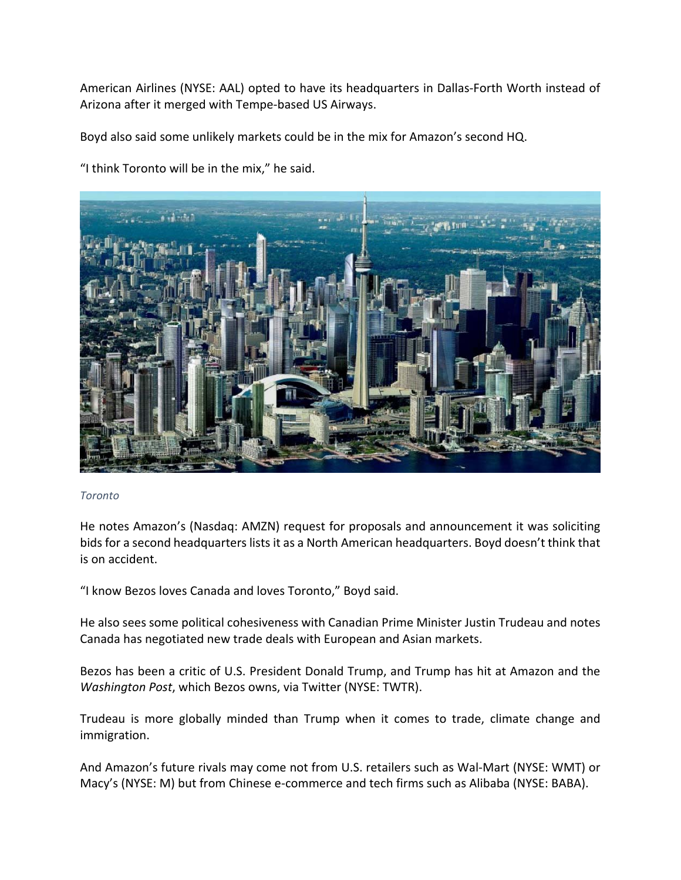American Airlines (NYSE: AAL) opted to have its headquarters in Dallas‐Forth Worth instead of Arizona after it merged with Tempe‐based US Airways.

Boyd also said some unlikely markets could be in the mix for Amazon's second HQ.

"I think Toronto will be in the mix," he said.



## *Toronto*

He notes Amazon's (Nasdaq: AMZN) request for proposals and announcement it was soliciting bids for a second headquarters lists it as a North American headquarters. Boyd doesn't think that is on accident.

"I know Bezos loves Canada and loves Toronto," Boyd said.

He also sees some political cohesiveness with Canadian Prime Minister Justin Trudeau and notes Canada has negotiated new trade deals with European and Asian markets.

Bezos has been a critic of U.S. President Donald Trump, and Trump has hit at Amazon and the *Washington Post*, which Bezos owns, via Twitter (NYSE: TWTR).

Trudeau is more globally minded than Trump when it comes to trade, climate change and immigration.

And Amazon's future rivals may come not from U.S. retailers such as Wal‐Mart (NYSE: WMT) or Macy's (NYSE: M) but from Chinese e‐commerce and tech firms such as Alibaba (NYSE: BABA).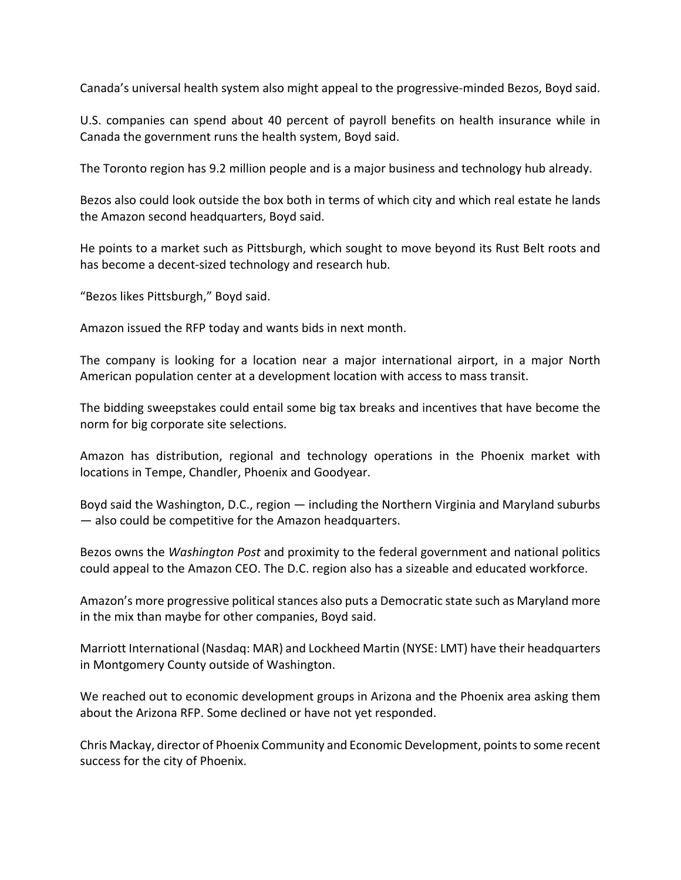Canada's universal health system also might appeal to the progressive‐minded Bezos, Boyd said.

U.S. companies can spend about 40 percent of payroll benefits on health insurance while in Canada the government runs the health system, Boyd said.

The Toronto region has 9.2 million people and is a major business and technology hub already.

Bezos also could look outside the box both in terms of which city and which real estate he lands the Amazon second headquarters, Boyd said.

He points to a market such as Pittsburgh, which sought to move beyond its Rust Belt roots and has become a decent‐sized technology and research hub.

"Bezos likes Pittsburgh," Boyd said.

Amazon issued the RFP today and wants bids in next month.

The company is looking for a location near a major international airport, in a major North American population center at a development location with access to mass transit.

The bidding sweepstakes could entail some big tax breaks and incentives that have become the norm for big corporate site selections.

Amazon has distribution, regional and technology operations in the Phoenix market with locations in Tempe, Chandler, Phoenix and Goodyear.

Boyd said the Washington, D.C., region — including the Northern Virginia and Maryland suburbs — also could be competitive for the Amazon headquarters.

Bezos owns the *Washington Post* and proximity to the federal government and national politics could appeal to the Amazon CEO. The D.C. region also has a sizeable and educated workforce.

Amazon's more progressive political stances also puts a Democratic state such as Maryland more in the mix than maybe for other companies, Boyd said.

Marriott International (Nasdaq: MAR) and Lockheed Martin (NYSE: LMT) have their headquarters in Montgomery County outside of Washington.

We reached out to economic development groups in Arizona and the Phoenix area asking them about the Arizona RFP. Some declined or have not yet responded.

Chris Mackay, director of Phoenix Community and Economic Development, pointsto some recent success for the city of Phoenix.